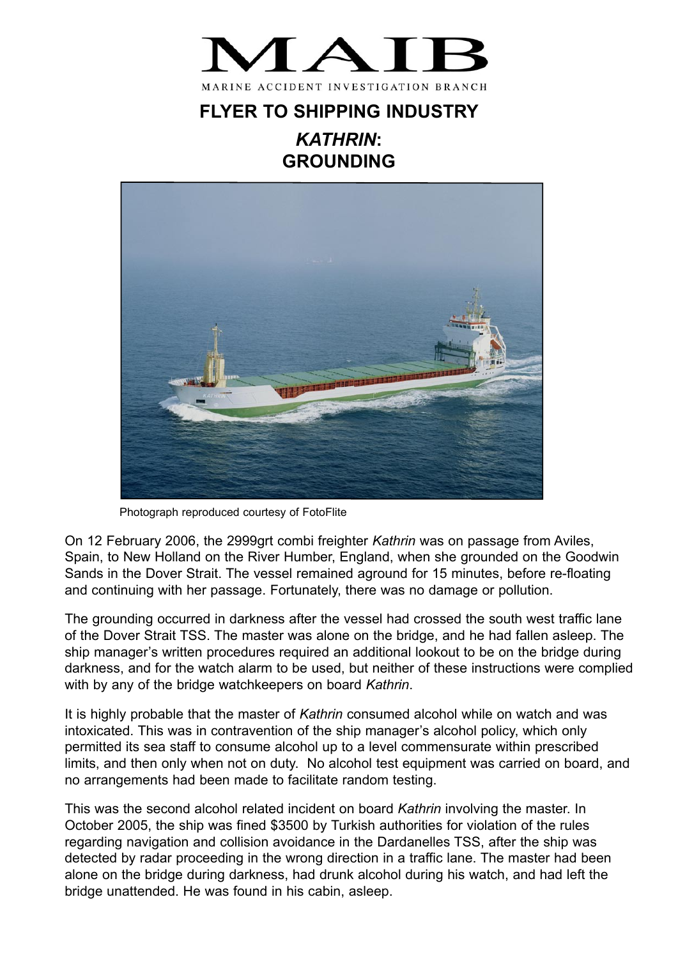

## **FLYER TO SHIPPING INDUSTRY** *KATHRIN***: GROUNDING**



Photograph reproduced courtesy of FotoFlite

On 12 February 2006, the 2999grt combi freighter *Kathrin* was on passage from Aviles, Spain, to New Holland on the River Humber, England, when she grounded on the Goodwin Sands in the Dover Strait. The vessel remained aground for 15 minutes, before re-floating and continuing with her passage. Fortunately, there was no damage or pollution.

The grounding occurred in darkness after the vessel had crossed the south west traffic lane of the Dover Strait TSS. The master was alone on the bridge, and he had fallen asleep. The ship manager's written procedures required an additional lookout to be on the bridge during darkness, and for the watch alarm to be used, but neither of these instructions were complied with by any of the bridge watchkeepers on board *Kathrin*.

It is highly probable that the master of *Kathrin* consumed alcohol while on watch and was intoxicated. This was in contravention of the ship manager's alcohol policy, which only permitted its sea staff to consume alcohol up to a level commensurate within prescribed limits, and then only when not on duty. No alcohol test equipment was carried on board, and no arrangements had been made to facilitate random testing.

This was the second alcohol related incident on board *Kathrin* involving the master. In October 2005, the ship was fined \$3500 by Turkish authorities for violation of the rules regarding navigation and collision avoidance in the Dardanelles TSS, after the ship was detected by radar proceeding in the wrong direction in a traffic lane. The master had been alone on the bridge during darkness, had drunk alcohol during his watch, and had left the bridge unattended. He was found in his cabin, asleep.